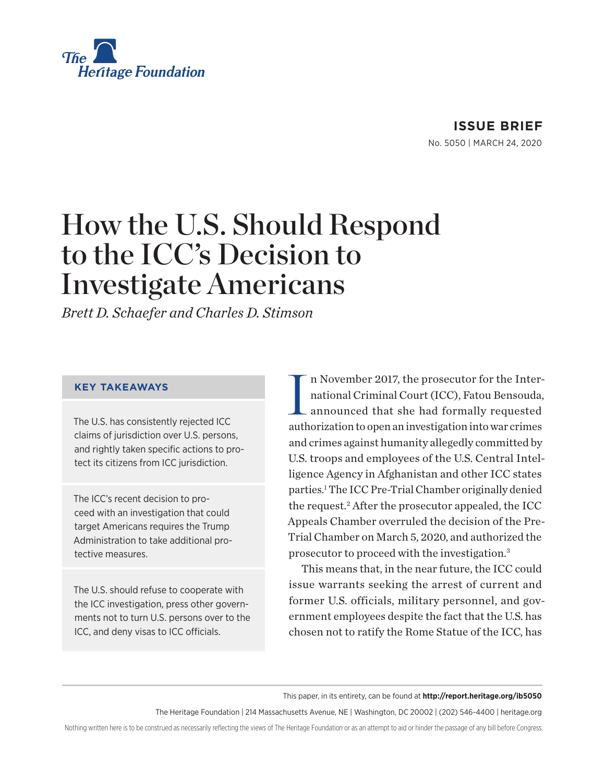

# How the U.S. Should Respond to the ICC's Decision to Investigate Americans

*Brett D. Schaefer and Charles D. Stimson*

#### **KEY TAKEAWAYS**

The U.S. has consistently rejected ICC claims of jurisdiction over U.S. persons, and rightly taken specific actions to protect its citizens from ICC jurisdiction.

The ICC's recent decision to proceed with an investigation that could target Americans requires the Trump Administration to take additional protective measures.

The U.S. should refuse to cooperate with the ICC investigation, press other governments not to turn U.S. persons over to the ICC, and deny visas to ICC officials.

I n November 2017, the prosecutor for the International Criminal Court (ICC), Fatou Bensouda, announced that she had formally requested authorization to open an investigation into war crimes and crimes against humanity allegedly committed by U.S. troops and employees of the U.S. Central Intelligence Agency in Afghanistan and other ICC states parties.1 The ICC Pre-Trial Chamber originally denied the request.2 After the prosecutor appealed, the ICC Appeals Chamber overruled the decision of the Pre-Trial Chamber on March 5, 2020, and authorized the prosecutor to proceed with the investigation.3

This means that, in the near future, the ICC could issue warrants seeking the arrest of current and former U.S. officials, military personnel, and government employees despite the fact that the U.S. has chosen not to ratify the Rome Statue of the ICC, has

This paper, in its entirety, can be found at **http://report.heritage.org/ib5050**

The Heritage Foundation | 214 Massachusetts Avenue, NE | Washington, DC 20002 | (202) 546-4400 | heritage.org

Nothing written here is to be construed as necessarily reflecting the views of The Heritage Foundation or as an attempt to aid or hinder the passage of any bill before Congress.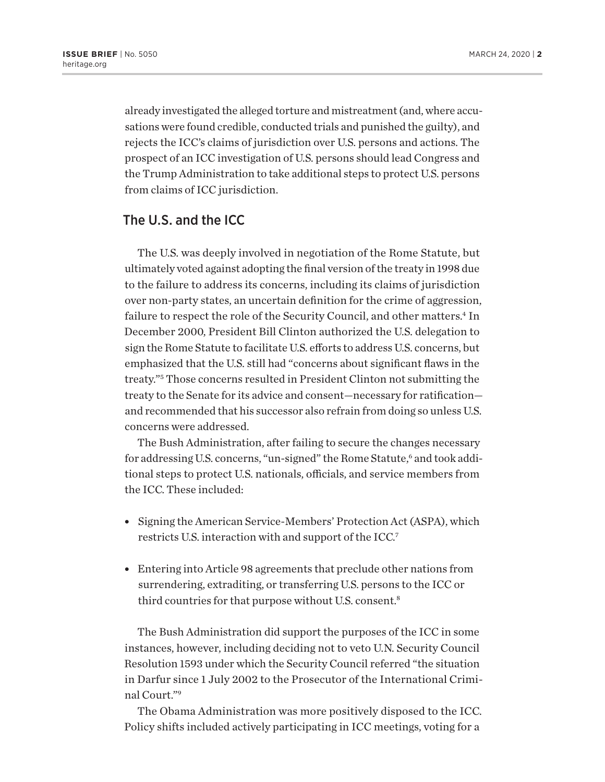already investigated the alleged torture and mistreatment (and, where accusations were found credible, conducted trials and punished the guilty), and rejects the ICC's claims of jurisdiction over U.S. persons and actions. The prospect of an ICC investigation of U.S. persons should lead Congress and the Trump Administration to take additional steps to protect U.S. persons from claims of ICC jurisdiction.

## The U.S. and the ICC

The U.S. was deeply involved in negotiation of the Rome Statute, but ultimately voted against adopting the final version of the treaty in 1998 due to the failure to address its concerns, including its claims of jurisdiction over non-party states, an uncertain definition for the crime of aggression, failure to respect the role of the Security Council, and other matters.<sup>4</sup> In December 2000, President Bill Clinton authorized the U.S. delegation to sign the Rome Statute to facilitate U.S. efforts to address U.S. concerns, but emphasized that the U.S. still had "concerns about significant flaws in the treaty."5 Those concerns resulted in President Clinton not submitting the treaty to the Senate for its advice and consent—necessary for ratification and recommended that his successor also refrain from doing so unless U.S. concerns were addressed.

The Bush Administration, after failing to secure the changes necessary for addressing U.S. concerns, "un-signed" the Rome Statute,6 and took additional steps to protect U.S. nationals, officials, and service members from the ICC. These included:

- Signing the American Service-Members' Protection Act (ASPA), which restricts U.S. interaction with and support of the ICC.7
- Entering into Article 98 agreements that preclude other nations from surrendering, extraditing, or transferring U.S. persons to the ICC or third countries for that purpose without U.S. consent.8

The Bush Administration did support the purposes of the ICC in some instances, however, including deciding not to veto U.N. Security Council Resolution 1593 under which the Security Council referred "the situation in Darfur since 1 July 2002 to the Prosecutor of the International Criminal Court."9

The Obama Administration was more positively disposed to the ICC. Policy shifts included actively participating in ICC meetings, voting for a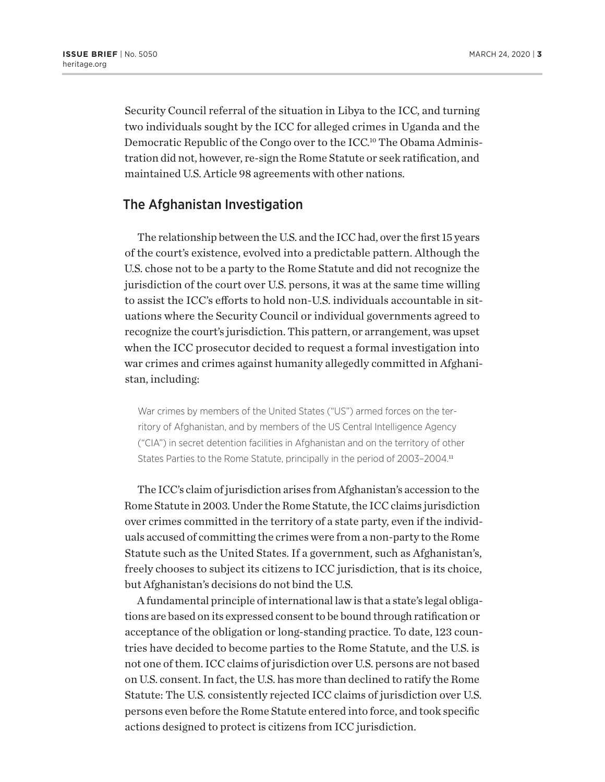Security Council referral of the situation in Libya to the ICC, and turning two individuals sought by the ICC for alleged crimes in Uganda and the Democratic Republic of the Congo over to the ICC.<sup>10</sup> The Obama Administration did not, however, re-sign the Rome Statute or seek ratification, and maintained U.S. Article 98 agreements with other nations.

### The Afghanistan Investigation

The relationship between the U.S. and the ICC had, over the first 15 years of the court's existence, evolved into a predictable pattern. Although the U.S. chose not to be a party to the Rome Statute and did not recognize the jurisdiction of the court over U.S. persons, it was at the same time willing to assist the ICC's efforts to hold non-U.S. individuals accountable in situations where the Security Council or individual governments agreed to recognize the court's jurisdiction. This pattern, or arrangement, was upset when the ICC prosecutor decided to request a formal investigation into war crimes and crimes against humanity allegedly committed in Afghanistan, including:

War crimes by members of the United States ("US") armed forces on the territory of Afghanistan, and by members of the US Central Intelligence Agency ("CIA") in secret detention facilities in Afghanistan and on the territory of other States Parties to the Rome Statute, principally in the period of 2003-2004.<sup>11</sup>

The ICC's claim of jurisdiction arises from Afghanistan's accession to the Rome Statute in 2003. Under the Rome Statute, the ICC claims jurisdiction over crimes committed in the territory of a state party, even if the individuals accused of committing the crimes were from a non-party to the Rome Statute such as the United States. If a government, such as Afghanistan's, freely chooses to subject its citizens to ICC jurisdiction, that is its choice, but Afghanistan's decisions do not bind the U.S.

A fundamental principle of international law is that a state's legal obligations are based on its expressed consent to be bound through ratification or acceptance of the obligation or long-standing practice. To date, 123 countries have decided to become parties to the Rome Statute, and the U.S. is not one of them. ICC claims of jurisdiction over U.S. persons are not based on U.S. consent. In fact, the U.S. has more than declined to ratify the Rome Statute: The U.S. consistently rejected ICC claims of jurisdiction over U.S. persons even before the Rome Statute entered into force, and took specific actions designed to protect is citizens from ICC jurisdiction.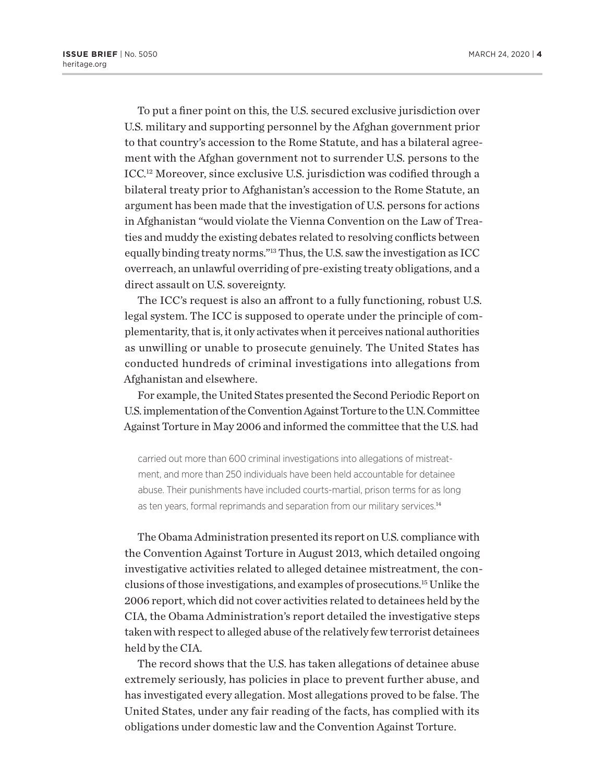To put a finer point on this, the U.S. secured exclusive jurisdiction over U.S. military and supporting personnel by the Afghan government prior to that country's accession to the Rome Statute, and has a bilateral agreement with the Afghan government not to surrender U.S. persons to the ICC.12 Moreover, since exclusive U.S. jurisdiction was codified through a bilateral treaty prior to Afghanistan's accession to the Rome Statute, an argument has been made that the investigation of U.S. persons for actions in Afghanistan "would violate the Vienna Convention on the Law of Treaties and muddy the existing debates related to resolving conflicts between equally binding treaty norms."13 Thus, the U.S. saw the investigation as ICC overreach, an unlawful overriding of pre-existing treaty obligations, and a direct assault on U.S. sovereignty.

The ICC's request is also an affront to a fully functioning, robust U.S. legal system. The ICC is supposed to operate under the principle of complementarity, that is, it only activates when it perceives national authorities as unwilling or unable to prosecute genuinely. The United States has conducted hundreds of criminal investigations into allegations from Afghanistan and elsewhere.

For example, the United States presented the Second Periodic Report on U.S. implementation of the Convention Against Torture to the U.N. Committee Against Torture in May 2006 and informed the committee that the U.S. had

carried out more than 600 criminal investigations into allegations of mistreatment, and more than 250 individuals have been held accountable for detainee abuse. Their punishments have included courts-martial, prison terms for as long as ten years, formal reprimands and separation from our military services.<sup>14</sup>

The Obama Administration presented its report on U.S. compliance with the Convention Against Torture in August 2013, which detailed ongoing investigative activities related to alleged detainee mistreatment, the conclusions of those investigations, and examples of prosecutions.15 Unlike the 2006 report, which did not cover activities related to detainees held by the CIA, the Obama Administration's report detailed the investigative steps taken with respect to alleged abuse of the relatively few terrorist detainees held by the CIA.

The record shows that the U.S. has taken allegations of detainee abuse extremely seriously, has policies in place to prevent further abuse, and has investigated every allegation. Most allegations proved to be false. The United States, under any fair reading of the facts, has complied with its obligations under domestic law and the Convention Against Torture.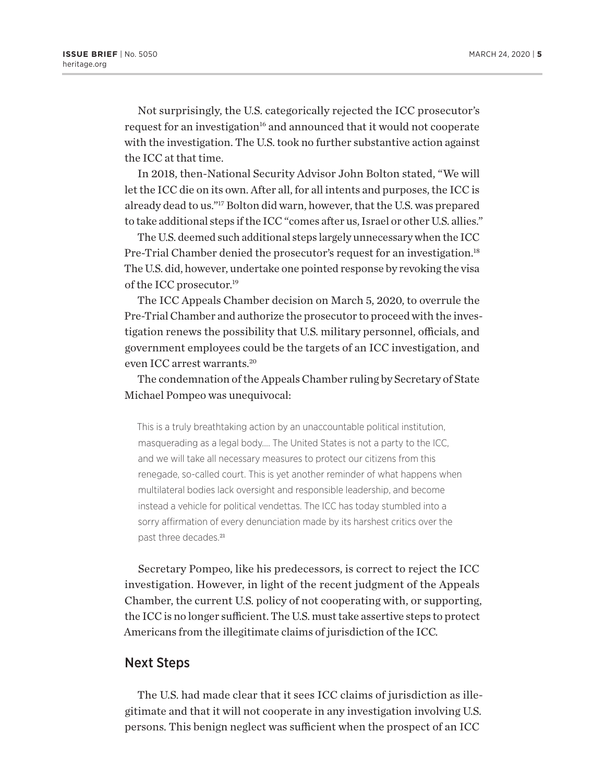Not surprisingly, the U.S. categorically rejected the ICC prosecutor's request for an investigation<sup>16</sup> and announced that it would not cooperate with the investigation. The U.S. took no further substantive action against the ICC at that time.

In 2018, then-National Security Advisor John Bolton stated, "We will let the ICC die on its own. After all, for all intents and purposes, the ICC is already dead to us."17 Bolton did warn, however, that the U.S. was prepared to take additional steps if the ICC "comes after us, Israel or other U.S. allies."

The U.S. deemed such additional steps largely unnecessary when the ICC Pre-Trial Chamber denied the prosecutor's request for an investigation.18 The U.S. did, however, undertake one pointed response by revoking the visa of the ICC prosecutor.<sup>19</sup>

The ICC Appeals Chamber decision on March 5, 2020, to overrule the Pre-Trial Chamber and authorize the prosecutor to proceed with the investigation renews the possibility that U.S. military personnel, officials, and government employees could be the targets of an ICC investigation, and even ICC arrest warrants.20

The condemnation of the Appeals Chamber ruling by Secretary of State Michael Pompeo was unequivocal:

This is a truly breathtaking action by an unaccountable political institution, masquerading as a legal body…. The United States is not a party to the ICC, and we will take all necessary measures to protect our citizens from this renegade, so-called court. This is yet another reminder of what happens when multilateral bodies lack oversight and responsible leadership, and become instead a vehicle for political vendettas. The ICC has today stumbled into a sorry affirmation of every denunciation made by its harshest critics over the past three decades.<sup>21</sup>

Secretary Pompeo, like his predecessors, is correct to reject the ICC investigation. However, in light of the recent judgment of the Appeals Chamber, the current U.S. policy of not cooperating with, or supporting, the ICC is no longer sufficient. The U.S. must take assertive steps to protect Americans from the illegitimate claims of jurisdiction of the ICC.

### Next Steps

The U.S. had made clear that it sees ICC claims of jurisdiction as illegitimate and that it will not cooperate in any investigation involving U.S. persons. This benign neglect was sufficient when the prospect of an ICC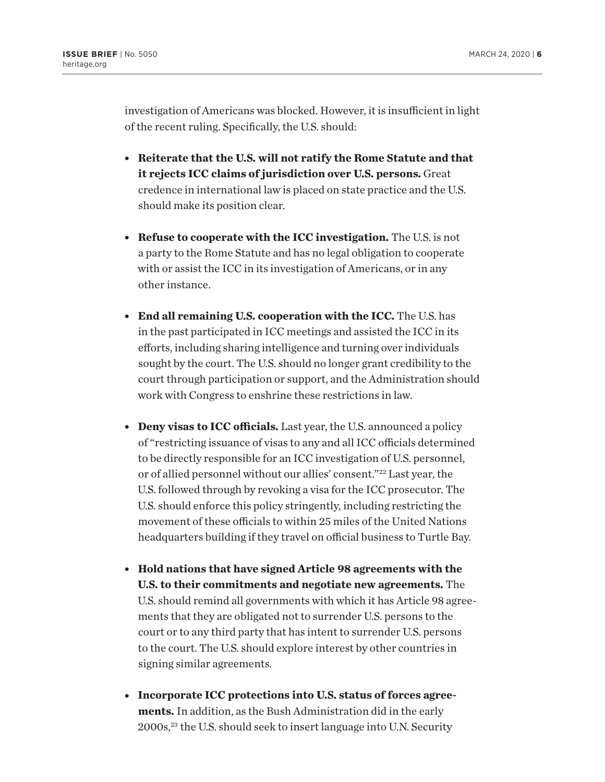investigation of Americans was blocked. However, it is insufficient in light of the recent ruling. Specifically, the U.S. should:

- **Reiterate that the U.S. will not ratify the Rome Statute and that it rejects ICC claims of jurisdiction over U.S. persons.** Great credence in international law is placed on state practice and the U.S. should make its position clear.
- **Refuse to cooperate with the ICC investigation.** The U.S. is not a party to the Rome Statute and has no legal obligation to cooperate with or assist the ICC in its investigation of Americans, or in any other instance.
- <sup>l</sup> **End all remaining U.S. cooperation with the ICC.** The U.S. has in the past participated in ICC meetings and assisted the ICC in its efforts, including sharing intelligence and turning over individuals sought by the court. The U.S. should no longer grant credibility to the court through participation or support, and the Administration should work with Congress to enshrine these restrictions in law.
- **Deny visas to ICC officials.** Last year, the U.S. announced a policy of "restricting issuance of visas to any and all ICC officials determined to be directly responsible for an ICC investigation of U.S. personnel, or of allied personnel without our allies' consent."22 Last year, the U.S. followed through by revoking a visa for the ICC prosecutor. The U.S. should enforce this policy stringently, including restricting the movement of these officials to within 25 miles of the United Nations headquarters building if they travel on official business to Turtle Bay.
- <sup>l</sup> **Hold nations that have signed Article 98 agreements with the U.S. to their commitments and negotiate new agreements.** The U.S. should remind all governments with which it has Article 98 agreements that they are obligated not to surrender U.S. persons to the court or to any third party that has intent to surrender U.S. persons to the court. The U.S. should explore interest by other countries in signing similar agreements.
- Incorporate ICC protections into U.S. status of forces agree**ments.** In addition, as the Bush Administration did in the early 2000s,23 the U.S. should seek to insert language into U.N. Security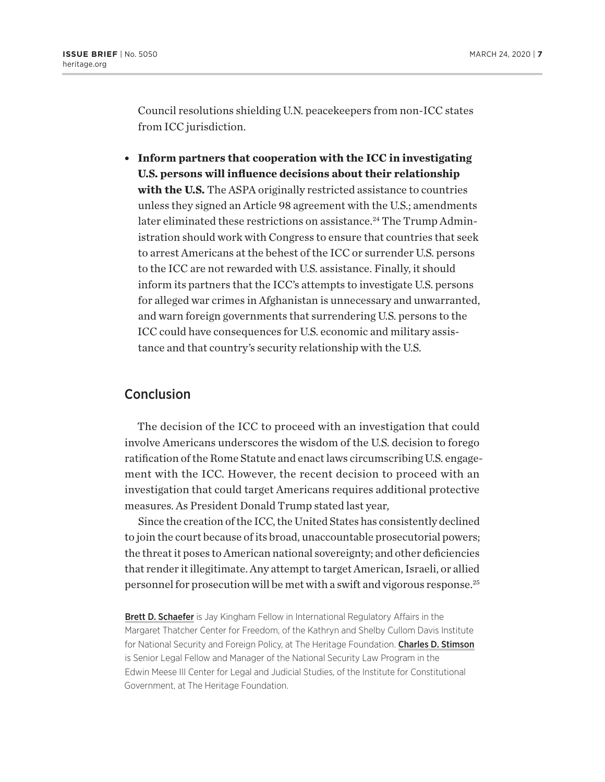Council resolutions shielding U.N. peacekeepers from non-ICC states from ICC jurisdiction.

<sup>l</sup> **Inform partners that cooperation with the ICC in investigating U.S. persons will influence decisions about their relationship with the U.S.** The ASPA originally restricted assistance to countries unless they signed an Article 98 agreement with the U.S.; amendments later eliminated these restrictions on assistance.<sup>24</sup> The Trump Administration should work with Congress to ensure that countries that seek to arrest Americans at the behest of the ICC or surrender U.S. persons to the ICC are not rewarded with U.S. assistance. Finally, it should inform its partners that the ICC's attempts to investigate U.S. persons for alleged war crimes in Afghanistan is unnecessary and unwarranted, and warn foreign governments that surrendering U.S. persons to the ICC could have consequences for U.S. economic and military assistance and that country's security relationship with the U.S.

### Conclusion

The decision of the ICC to proceed with an investigation that could involve Americans underscores the wisdom of the U.S. decision to forego ratification of the Rome Statute and enact laws circumscribing U.S. engagement with the ICC. However, the recent decision to proceed with an investigation that could target Americans requires additional protective measures. As President Donald Trump stated last year,

Since the creation of the ICC, the United States has consistently declined to join the court because of its broad, unaccountable prosecutorial powers; the threat it poses to American national sovereignty; and other deficiencies that render it illegitimate. Any attempt to target American, Israeli, or allied personnel for prosecution will be met with a swift and vigorous response.25

Brett D. Schaefer is Jay Kingham Fellow in International Regulatory Affairs in the Margaret Thatcher Center for Freedom, of the Kathryn and Shelby Cullom Davis Institute for National Security and Foreign Policy, at The Heritage Foundation. Charles D. Stimson is Senior Legal Fellow and Manager of the National Security Law Program in the Edwin Meese III Center for Legal and Judicial Studies, of the Institute for Constitutional Government, at The Heritage Foundation.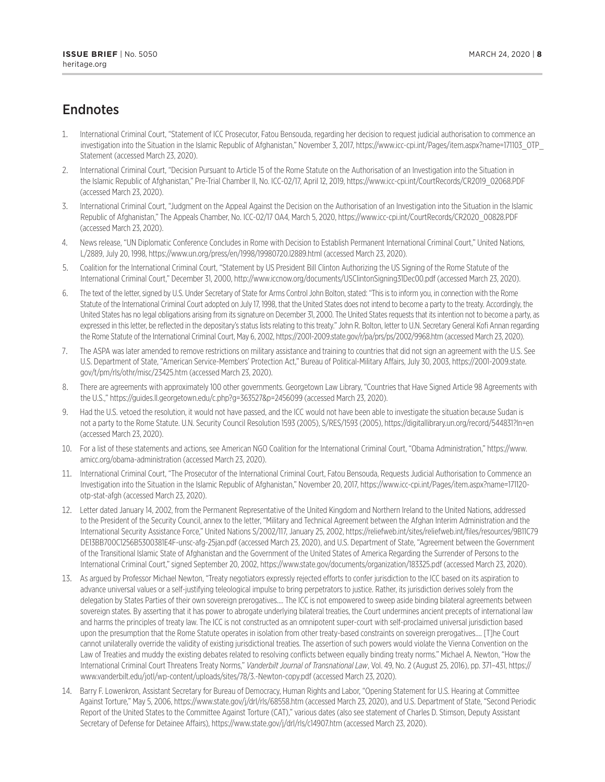## Endnotes

- 1. International Criminal Court, "Statement of ICC Prosecutor, Fatou Bensouda, regarding her decision to request judicial authorisation to commence an investigation into the Situation in the Islamic Republic of Afghanistan," November 3, 2017, https://www.icc-cpi.int/Pages/item.aspx?name=171103\_OTP\_ Statement (accessed March 23, 2020).
- 2. International Criminal Court, "Decision Pursuant to Article 15 of the Rome Statute on the Authorisation of an Investigation into the Situation in the Islamic Republic of Afghanistan," Pre-Trial Chamber II, No. ICC-02/17, April 12, 2019, https://www.icc-cpi.int/CourtRecords/CR2019\_02068.PDF (accessed March 23, 2020).
- 3. International Criminal Court, "Judgment on the Appeal Against the Decision on the Authorisation of an Investigation into the Situation in the Islamic Republic of Afghanistan," The Appeals Chamber, No. ICC-02/17 OA4, March 5, 2020, https://www.icc-cpi.int/CourtRecords/CR2020\_00828.PDF (accessed March 23, 2020).
- 4. News release, "UN Diplomatic Conference Concludes in Rome with Decision to Establish Permanent International Criminal Court," United Nations, L/2889, July 20, 1998, https://www.un.org/press/en/1998/19980720.l2889.html (accessed March 23, 2020).
- 5. Coalition for the International Criminal Court, "Statement by US President Bill Clinton Authorizing the US Signing of the Rome Statute of the International Criminal Court," December 31, 2000, http://www.iccnow.org/documents/USClintonSigning31Dec00.pdf (accessed March 23, 2020).
- 6. The text of the letter, signed by U.S. Under Secretary of State for Arms Control John Bolton, stated: "This is to inform you, in connection with the Rome Statute of the International Criminal Court adopted on July 17, 1998, that the United States does not intend to become a party to the treaty. Accordingly, the United States has no legal obligations arising from its signature on December 31, 2000. The United States requests that its intention not to become a party, as expressed in this letter, be reflected in the depositary's status lists relating to this treaty." John R. Bolton, letter to U.N. Secretary General Kofi Annan regarding the Rome Statute of the International Criminal Court, May 6, 2002, https://2001-2009.state.gov/r/pa/prs/ps/2002/9968.htm (accessed March 23, 2020).
- 7. The ASPA was later amended to remove restrictions on military assistance and training to countries that did not sign an agreement with the U.S. See U.S. Department of State, "American Service-Members' Protection Act," Bureau of Political-Military Affairs, July 30, 2003, https://2001-2009.state. gov/t/pm/rls/othr/misc/23425.htm (accessed March 23, 2020).
- 8. There are agreements with approximately 100 other governments. Georgetown Law Library, "Countries that Have Signed Article 98 Agreements with the U.S.," https://guides.ll.georgetown.edu/c.php?g=363527&p=2456099 (accessed March 23, 2020).
- 9. Had the U.S. vetoed the resolution, it would not have passed, and the ICC would not have been able to investigate the situation because Sudan is not a party to the Rome Statute. U.N. Security Council Resolution 1593 (2005), S/RES/1593 (2005), https://digitallibrary.un.org/record/544831?ln=en (accessed March 23, 2020).
- 10. For a list of these statements and actions, see American NGO Coalition for the International Criminal Court, "Obama Administration," https://www. amicc.org/obama-administration (accessed March 23, 2020).
- 11. International Criminal Court, "The Prosecutor of the International Criminal Court, Fatou Bensouda, Requests Judicial Authorisation to Commence an Investigation into the Situation in the Islamic Republic of Afghanistan," November 20, 2017, https://www.icc-cpi.int/Pages/item.aspx?name=171120 otp-stat-afgh (accessed March 23, 2020).
- 12. Letter dated January 14, 2002, from the Permanent Representative of the United Kingdom and Northern Ireland to the United Nations, addressed to the President of the Security Council, annex to the letter, "Military and Technical Agreement between the Afghan Interim Administration and the International Security Assistance Force," United Nations S/2002/117, January 25, 2002, https://reliefweb.int/sites/reliefweb.int/files/resources/9B11C79 DE13BB700C1256B5300381E4F-unsc-afg-25jan.pdf (accessed March 23, 2020), and U.S. Department of State, "Agreement between the Government of the Transitional Islamic State of Afghanistan and the Government of the United States of America Regarding the Surrender of Persons to the International Criminal Court," signed September 20, 2002, https://www.state.gov/documents/organization/183325.pdf (accessed March 23, 2020).
- 13. As argued by Professor Michael Newton, "Treaty negotiators expressly rejected efforts to confer jurisdiction to the ICC based on its aspiration to advance universal values or a self-justifying teleological impulse to bring perpetrators to justice. Rather, its jurisdiction derives solely from the delegation by States Parties of their own sovereign prerogatives…. The ICC is not empowered to sweep aside binding bilateral agreements between sovereign states. By asserting that it has power to abrogate underlying bilateral treaties, the Court undermines ancient precepts of international law and harms the principles of treaty law. The ICC is not constructed as an omnipotent super-court with self-proclaimed universal jurisdiction based upon the presumption that the Rome Statute operates in isolation from other treaty-based constraints on sovereign prerogatives.… [T]he Court cannot unilaterally override the validity of existing jurisdictional treaties. The assertion of such powers would violate the Vienna Convention on the Law of Treaties and muddy the existing debates related to resolving conflicts between equally binding treaty norms." Michael A. Newton, "How the International Criminal Court Threatens Treaty Norms," *Vanderbilt Journal of Transnational Law*, Vol. 49, No. 2 (August 25, 2016), pp. 371–431, https:// www.vanderbilt.edu/jotl/wp-content/uploads/sites/78/3.-Newton-copy.pdf (accessed March 23, 2020).
- 14. Barry F. Lowenkron, Assistant Secretary for Bureau of Democracy, Human Rights and Labor, "Opening Statement for U.S. Hearing at Committee Against Torture," May 5, 2006, https://www.state.gov/j/drl/rls/68558.htm (accessed March 23, 2020), and U.S. Department of State, "Second Periodic Report of the United States to the Committee Against Torture (CAT)," various dates (also see statement of Charles D. Stimson, Deputy Assistant Secretary of Defense for Detainee Affairs), https://www.state.gov/j/drl/rls/c14907.htm (accessed March 23, 2020).